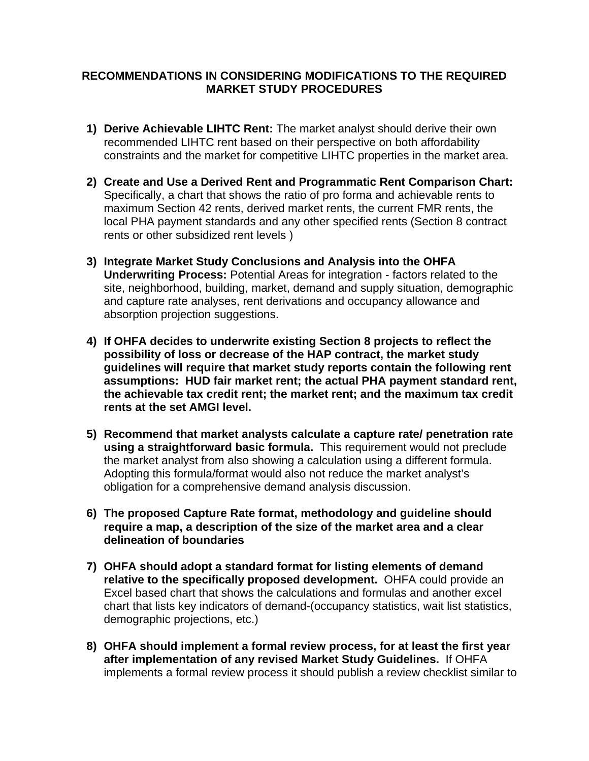## **RECOMMENDATIONS IN CONSIDERING MODIFICATIONS TO THE REQUIRED MARKET STUDY PROCEDURES**

- **1) Derive Achievable LIHTC Rent:** The market analyst should derive their own recommended LIHTC rent based on their perspective on both affordability constraints and the market for competitive LIHTC properties in the market area.
- **2) Create and Use a Derived Rent and Programmatic Rent Comparison Chart:** Specifically, a chart that shows the ratio of pro forma and achievable rents to maximum Section 42 rents, derived market rents, the current FMR rents, the local PHA payment standards and any other specified rents (Section 8 contract rents or other subsidized rent levels )
- **3) Integrate Market Study Conclusions and Analysis into the OHFA Underwriting Process:** Potential Areas for integration - factors related to the site, neighborhood, building, market, demand and supply situation, demographic and capture rate analyses, rent derivations and occupancy allowance and absorption projection suggestions.
- **4) If OHFA decides to underwrite existing Section 8 projects to reflect the possibility of loss or decrease of the HAP contract, the market study guidelines will require that market study reports contain the following rent assumptions: HUD fair market rent; the actual PHA payment standard rent, the achievable tax credit rent; the market rent; and the maximum tax credit rents at the set AMGI level.**
- **5) Recommend that market analysts calculate a capture rate/ penetration rate using a straightforward basic formula.** This requirement would not preclude the market analyst from also showing a calculation using a different formula. Adopting this formula/format would also not reduce the market analyst's obligation for a comprehensive demand analysis discussion.
- **6) The proposed Capture Rate format, methodology and guideline should require a map, a description of the size of the market area and a clear delineation of boundaries**
- **7) OHFA should adopt a standard format for listing elements of demand relative to the specifically proposed development.** OHFA could provide an Excel based chart that shows the calculations and formulas and another excel chart that lists key indicators of demand-(occupancy statistics, wait list statistics, demographic projections, etc.)
- **8) OHFA should implement a formal review process, for at least the first year after implementation of any revised Market Study Guidelines.** If OHFA implements a formal review process it should publish a review checklist similar to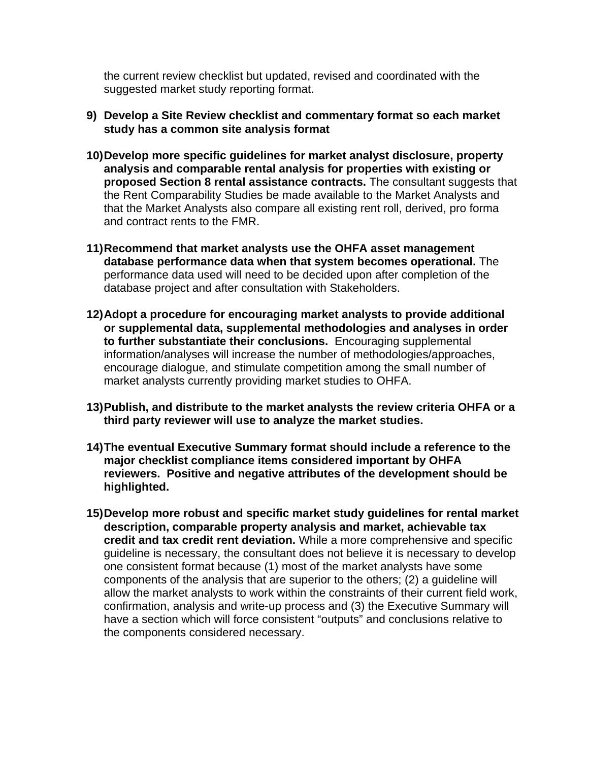the current review checklist but updated, revised and coordinated with the suggested market study reporting format.

- **9) Develop a Site Review checklist and commentary format so each market study has a common site analysis format**
- **10) Develop more specific guidelines for market analyst disclosure, property analysis and comparable rental analysis for properties with existing or proposed Section 8 rental assistance contracts.** The consultant suggests that the Rent Comparability Studies be made available to the Market Analysts and that the Market Analysts also compare all existing rent roll, derived, pro forma and contract rents to the FMR.
- **11) Recommend that market analysts use the OHFA asset management database performance data when that system becomes operational.** The performance data used will need to be decided upon after completion of the database project and after consultation with Stakeholders.
- **12) Adopt a procedure for encouraging market analysts to provide additional or supplemental data, supplemental methodologies and analyses in order to further substantiate their conclusions.** Encouraging supplemental information/analyses will increase the number of methodologies/approaches, encourage dialogue, and stimulate competition among the small number of market analysts currently providing market studies to OHFA.
- **13) Publish, and distribute to the market analysts the review criteria OHFA or a third party reviewer will use to analyze the market studies.**
- **14) The eventual Executive Summary format should include a reference to the major checklist compliance items considered important by OHFA reviewers. Positive and negative attributes of the development should be highlighted.**
- **15) Develop more robust and specific market study guidelines for rental market description, comparable property analysis and market, achievable tax credit and tax credit rent deviation.** While a more comprehensive and specific guideline is necessary, the consultant does not believe it is necessary to develop one consistent format because (1) most of the market analysts have some components of the analysis that are superior to the others; (2) a guideline will allow the market analysts to work within the constraints of their current field work, confirmation, analysis and write-up process and (3) the Executive Summary will have a section which will force consistent "outputs" and conclusions relative to the components considered necessary.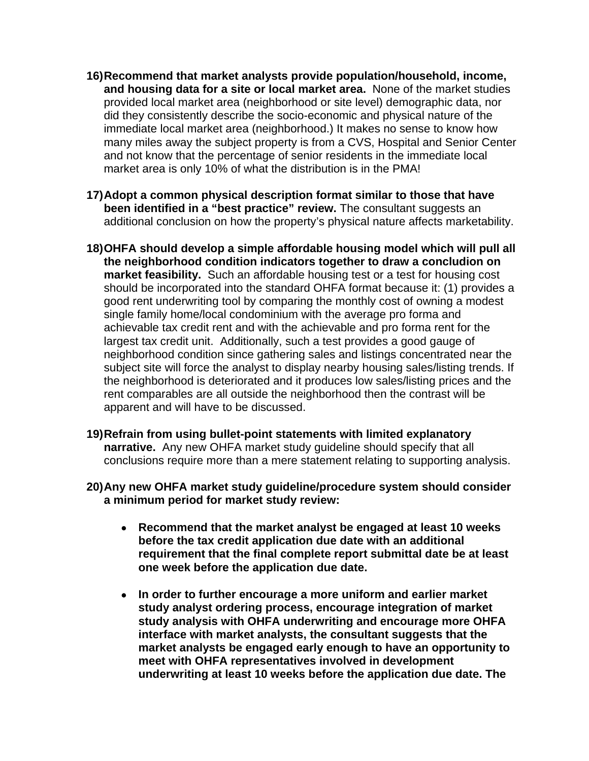- **16) Recommend that market analysts provide population/household, income, and housing data for a site or local market area.** None of the market studies provided local market area (neighborhood or site level) demographic data, nor did they consistently describe the socio-economic and physical nature of the immediate local market area (neighborhood.) It makes no sense to know how many miles away the subject property is from a CVS, Hospital and Senior Center and not know that the percentage of senior residents in the immediate local market area is only 10% of what the distribution is in the PMA!
- **17) Adopt a common physical description format similar to those that have been identified in a "best practice" review.** The consultant suggests an additional conclusion on how the property's physical nature affects marketability.
- **18) OHFA should develop a simple affordable housing model which will pull all the neighborhood condition indicators together to draw a concludion on market feasibility.** Such an affordable housing test or a test for housing cost should be incorporated into the standard OHFA format because it: (1) provides a good rent underwriting tool by comparing the monthly cost of owning a modest single family home/local condominium with the average pro forma and achievable tax credit rent and with the achievable and pro forma rent for the largest tax credit unit. Additionally, such a test provides a good gauge of neighborhood condition since gathering sales and listings concentrated near the subject site will force the analyst to display nearby housing sales/listing trends. If the neighborhood is deteriorated and it produces low sales/listing prices and the rent comparables are all outside the neighborhood then the contrast will be apparent and will have to be discussed.
- **19) Refrain from using bullet-point statements with limited explanatory narrative.** Any new OHFA market study guideline should specify that all conclusions require more than a mere statement relating to supporting analysis.
- **20) Any new OHFA market study guideline/procedure system should consider a minimum period for market study review:** 
	- • **Recommend that the market analyst be engaged at least 10 weeks before the tax credit application due date with an additional requirement that the final complete report submittal date be at least one week before the application due date.**
	- • **In order to further encourage a more uniform and earlier market study analyst ordering process, encourage integration of market study analysis with OHFA underwriting and encourage more OHFA interface with market analysts, the consultant suggests that the market analysts be engaged early enough to have an opportunity to meet with OHFA representatives involved in development underwriting at least 10 weeks before the application due date. The**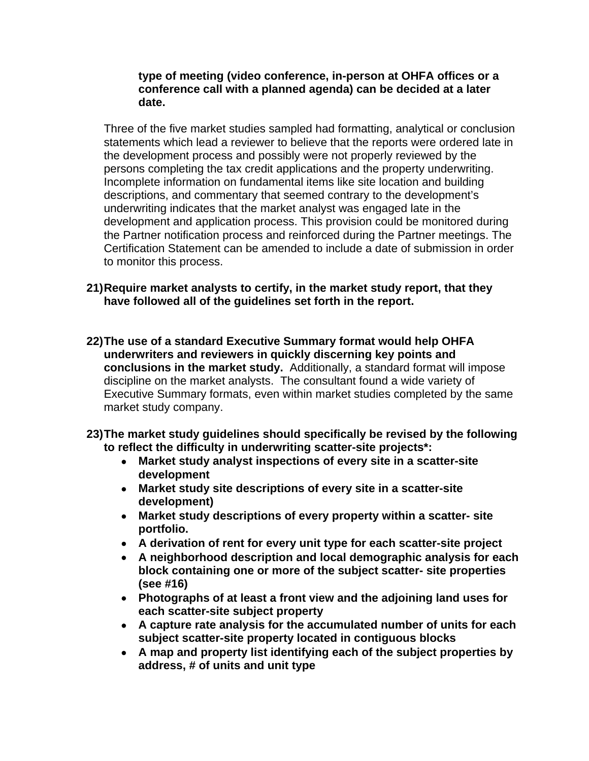## **type of meeting (video conference, in-person at OHFA offices or a conference call with a planned agenda) can be decided at a later date.**

Three of the five market studies sampled had formatting, analytical or conclusion statements which lead a reviewer to believe that the reports were ordered late in the development process and possibly were not properly reviewed by the persons completing the tax credit applications and the property underwriting. Incomplete information on fundamental items like site location and building descriptions, and commentary that seemed contrary to the development's underwriting indicates that the market analyst was engaged late in the development and application process. This provision could be monitored during the Partner notification process and reinforced during the Partner meetings. The Certification Statement can be amended to include a date of submission in order to monitor this process.

- **21) Require market analysts to certify, in the market study report, that they have followed all of the guidelines set forth in the report.**
- **22) The use of a standard Executive Summary format would help OHFA underwriters and reviewers in quickly discerning key points and conclusions in the market study.** Additionally, a standard format will impose discipline on the market analysts. The consultant found a wide variety of Executive Summary formats, even within market studies completed by the same market study company.
- **23) The market study guidelines should specifically be revised by the following to reflect the difficulty in underwriting scatter-site projects\*:**
	- • **Market study analyst inspections of every site in a scatter-site development**
	- • **Market study site descriptions of every site in a scatter-site development)**
	- • **Market study descriptions of every property within a scatter- site portfolio.**
	- • **A derivation of rent for every unit type for each scatter-site project**
	- • **A neighborhood description and local demographic analysis for each block containing one or more of the subject scatter- site properties (see #16)**
	- • **Photographs of at least a front view and the adjoining land uses for each scatter-site subject property**
	- • **A capture rate analysis for the accumulated number of units for each subject scatter-site property located in contiguous blocks**
	- • **A map and property list identifying each of the subject properties by address, # of units and unit type**